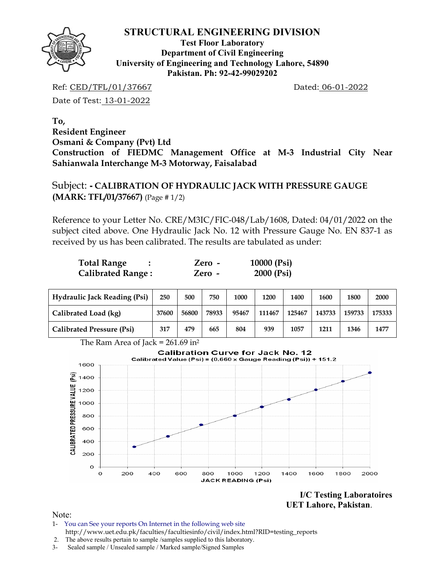

**Test Floor Laboratory Department of Civil Engineering University of Engineering and Technology Lahore, 54890 Pakistan. Ph: 92-42-99029202** 

Ref: CED/TFL/01/37667 Dated: 06-01-2022

Date of Test: 13-01-2022

**To, Resident Engineer Osmani & Company (Pvt) Ltd Construction of FIEDMC Management Office at M-3 Industrial City Near Sahianwala Interchange M-3 Motorway, Faisalabad** 

Subject: **- CALIBRATION OF HYDRAULIC JACK WITH PRESSURE GAUGE (MARK: TFL/01/37667)** (Page # 1/2)

Reference to your Letter No. CRE/M3IC/FIC-048/Lab/1608, Dated: 04/01/2022 on the subject cited above. One Hydraulic Jack No. 12 with Pressure Gauge No. EN 837-1 as received by us has been calibrated. The results are tabulated as under:

| <b>Total Range</b>       | Zero - | 10000 (Psi) |
|--------------------------|--------|-------------|
| <b>Calibrated Range:</b> | Zero - | 2000 (Psi)  |

| <b>Hydraulic Jack Reading (Psi)</b> | 250   | 500   | 750   | 1000  | 1200   | 1400   | 1600   | 1800   | 2000   |
|-------------------------------------|-------|-------|-------|-------|--------|--------|--------|--------|--------|
| Calibrated Load (kg)                | 37600 | 56800 | 78933 | 95467 | 111467 | 125467 | 143733 | 159733 | 175333 |
| <b>Calibrated Pressure (Psi)</b>    | 317   | 479   | 665   | 804   | 939    | 1057   | 1211   | 1346   | 1477   |



**I/C Testing Laboratoires UET Lahore, Pakistan**.

Note:

- 1- You can See your reports On Internet in the following web site http://www.uet.edu.pk/faculties/facultiesinfo/civil/index.html?RID=testing\_reports
- 2. The above results pertain to sample /samples supplied to this laboratory.
- 3- Sealed sample / Unsealed sample / Marked sample/Signed Samples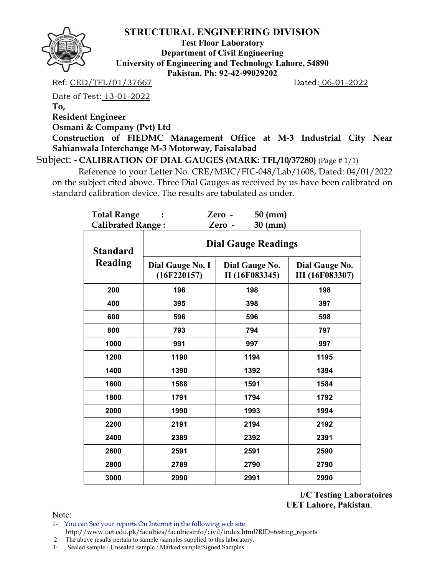

**Test Floor Laboratory Department of Civil Engineering University of Engineering and Technology Lahore, 54890 Pakistan. Ph: 92-42-99029202** 

Ref: CED/TFL/01/37667 Dated: 06-01-2022

Date of Test: 13-01-2022

**To,** 

**Resident Engineer** 

**Osmani & Company (Pvt) Ltd** 

**Construction of FIEDMC Management Office at M-3 Industrial City Near Sahianwala Interchange M-3 Motorway, Faisalabad** 

Subject: **- CALIBRATION OF DIAL GAUGES (MARK: TFL/10/37280)** (Page # 1/1)

 Reference to your Letter No. CRE/M3IC/FIC-048/Lab/1608, Dated: 04/01/2022 on the subject cited above. Three Dial Gauges as received by us have been calibrated on standard calibration device. The results are tabulated as under.

| <b>Total Range</b>                |                                 | $50$ (mm)<br>Zero -              |                                          |  |  |  |  |  |
|-----------------------------------|---------------------------------|----------------------------------|------------------------------------------|--|--|--|--|--|
| <b>Calibrated Range:</b>          |                                 | $30$ (mm)<br>Zero -              |                                          |  |  |  |  |  |
| <b>Standard</b><br><b>Reading</b> | <b>Dial Gauge Readings</b>      |                                  |                                          |  |  |  |  |  |
|                                   | Dial Gauge No. I<br>(16F220157) | Dial Gauge No.<br>II (16F083345) | Dial Gauge No.<br><b>III</b> (16F083307) |  |  |  |  |  |
| 200                               | 196                             | 198                              | 198                                      |  |  |  |  |  |
| 400                               | 395                             | 398                              | 397                                      |  |  |  |  |  |
| 600                               | 596                             | 596                              | 598                                      |  |  |  |  |  |
| 800                               | 793                             | 794                              | 797                                      |  |  |  |  |  |
| 1000                              | 991                             | 997                              | 997                                      |  |  |  |  |  |
| 1200                              | 1190                            | 1194                             | 1195                                     |  |  |  |  |  |
| 1400                              | 1390                            | 1392                             | 1394                                     |  |  |  |  |  |
| 1600                              | 1588                            | 1591                             | 1584                                     |  |  |  |  |  |
| 1800                              | 1791                            | 1794                             | 1792                                     |  |  |  |  |  |
| 2000                              | 1990                            | 1993                             | 1994                                     |  |  |  |  |  |
| 2200                              | 2191                            | 2194                             | 2192                                     |  |  |  |  |  |
| 2400                              | 2389                            | 2392                             | 2391                                     |  |  |  |  |  |
| 2600                              | 2591                            | 2591                             | 2590                                     |  |  |  |  |  |
| 2800                              | 2789                            | 2790                             | 2790                                     |  |  |  |  |  |
| 3000                              | 2990                            | 2991                             | 2990                                     |  |  |  |  |  |

**I/C Testing Laboratoires UET Lahore, Pakistan**.

Note:

1- You can See your reports On Internet in the following web site http://www.uet.edu.pk/faculties/facultiesinfo/civil/index.html?RID=testing\_reports

2. The above results pertain to sample /samples supplied to this laboratory.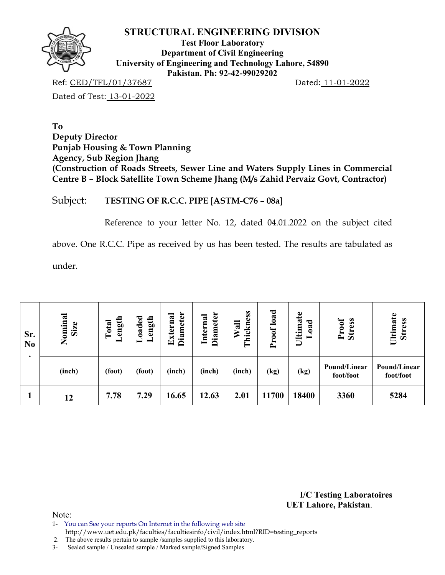

**Test Floor Laboratory Department of Civil Engineering University of Engineering and Technology Lahore, 54890 Pakistan. Ph: 92-42-99029202** 

Ref: CED/TFL/01/37687 Dated: 11-01-2022

Dated of Test: 13-01-2022

**To Deputy Director Punjab Housing & Town Planning Agency, Sub Region Jhang (Construction of Roads Streets, Sewer Line and Waters Supply Lines in Commercial Centre B – Block Satellite Town Scheme Jhang (M/s Zahid Pervaiz Govt, Contractor)** 

Subject: **TESTING OF R.C.C. PIPE [ASTM-C76 – 08a]**

Reference to your letter No. 12, dated 04.01.2022 on the subject cited

above. One R.C.C. Pipe as received by us has been tested. The results are tabulated as

under.

| Sr.<br>N <sub>0</sub> | Nominal<br>Size | ${\tt de}$<br>ength<br>ength<br>Total<br>Š<br>- |        | <b>Diameter</b><br><b>Diameter</b><br>Internal<br>xterna<br>덕 |        | load<br>ess<br>$W$ all<br>Ę<br>Proof<br>hic<br>۳ |       | Ultimate<br>ರ<br>ನ<br>$\ddot{\bullet}$<br>- | <b>Stress</b><br>Proof    | Ultimate<br><b>Stress</b> |
|-----------------------|-----------------|-------------------------------------------------|--------|---------------------------------------------------------------|--------|--------------------------------------------------|-------|---------------------------------------------|---------------------------|---------------------------|
|                       | (inch)          | (foot)                                          | (foot) | (inch)                                                        | (inch) | (inch)                                           | (kg)  | (kg)                                        | Pound/Linear<br>foot/foot | Pound/Linear<br>foot/foot |
|                       | 12              | 7.78                                            | 7.29   | 16.65                                                         | 12.63  | 2.01                                             | 11700 | 18400                                       | 3360                      | 5284                      |

**I/C Testing Laboratoires UET Lahore, Pakistan**.

Note:

1- You can See your reports On Internet in the following web site

http://www.uet.edu.pk/faculties/facultiesinfo/civil/index.html?RID=testing\_reports

2. The above results pertain to sample /samples supplied to this laboratory.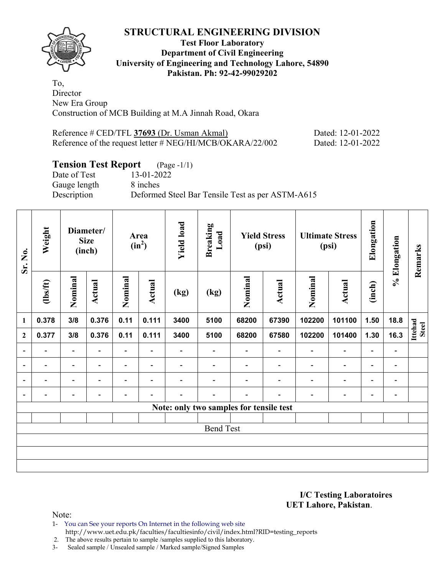

### **Test Floor Laboratory Department of Civil Engineering University of Engineering and Technology Lahore, 54890 Pakistan. Ph: 92-42-99029202**

To, **Director** New Era Group Construction of MCB Building at M.A Jinnah Road, Okara

| Reference # CED/TFL 37693 (Dr. Usman Akmal)               | Dated: 12-01-2022 |
|-----------------------------------------------------------|-------------------|
| Reference of the request letter # NEG/HI/MCB/OKARA/22/002 | Dated: 12-01-2022 |

# **Tension Test Report** (Page -1/1)<br>Date of Test 13-01-2022

Date of Test Gauge length 8 inches

Description Deformed Steel Bar Tensile Test as per ASTM-A615

| Sr. No.                  | Weight<br><b>Size</b>        |                          | Diameter/<br>Area<br>$(in^2)$<br>(inch) |                              | <b>Yield load</b><br><b>Breaking</b><br>Load |                          | <b>Yield Stress</b><br>(psi) |                                         | <b>Ultimate Stress</b><br>(psi) |                          | Elongation               | % Elongation                 | Remarks                  |                         |
|--------------------------|------------------------------|--------------------------|-----------------------------------------|------------------------------|----------------------------------------------|--------------------------|------------------------------|-----------------------------------------|---------------------------------|--------------------------|--------------------------|------------------------------|--------------------------|-------------------------|
|                          | $\frac{2}{10}$               | Nominal                  | Actual                                  | Nominal                      | Actual                                       | (kg)                     | (kg)                         | Nominal                                 | Actual                          | Nominal                  | <b>Actual</b>            | (inch)                       |                          |                         |
| $\mathbf{1}$             | 0.378                        | 3/8                      | 0.376                                   | 0.11                         | 0.111                                        | 3400                     | 5100                         | 68200                                   | 67390                           | 102200                   | 101100                   | 1.50                         | 18.8                     |                         |
| $\mathbf{2}$             | 0.377                        | 3/8                      | 0.376                                   | 0.11                         | 0.111                                        | 3400                     | 5100                         | 68200                                   | 67580                           | 102200                   | 101400                   | 1.30                         | 16.3                     | Ittehad<br><b>Steel</b> |
| $\overline{\phantom{a}}$ | $\qquad \qquad \blacksquare$ | $\blacksquare$           | $\overline{\phantom{a}}$                | $\qquad \qquad \blacksquare$ | $\overline{\phantom{a}}$                     | $\overline{\phantom{a}}$ | $\overline{\phantom{0}}$     | $\overline{\phantom{a}}$                | $\overline{\phantom{a}}$        | $\overline{\phantom{a}}$ | $\overline{\phantom{a}}$ | $\overline{\phantom{0}}$     | $\overline{\phantom{a}}$ |                         |
| $\overline{\phantom{0}}$ | $\overline{\phantom{0}}$     | $\overline{\phantom{0}}$ | ۰                                       | $\overline{\phantom{0}}$     | $\overline{\phantom{0}}$                     | $\overline{\phantom{0}}$ | $\overline{\phantom{0}}$     | $\overline{\phantom{0}}$                | $\overline{\phantom{a}}$        | $\overline{\phantom{0}}$ | $\overline{\phantom{0}}$ | $\overline{\phantom{0}}$     | $\blacksquare$           |                         |
| $\overline{\phantom{a}}$ |                              | $\overline{\phantom{0}}$ |                                         | -                            | $\overline{\phantom{0}}$                     |                          |                              |                                         |                                 |                          | $\overline{\phantom{0}}$ | $\overline{\phantom{0}}$     | $\blacksquare$           |                         |
| $\overline{\phantom{a}}$ | -                            | -                        | $\overline{\phantom{0}}$                | -                            | $\overline{\phantom{0}}$                     |                          | -                            |                                         | $\overline{\phantom{0}}$        | $\overline{\phantom{0}}$ | $\overline{\phantom{0}}$ | $\qquad \qquad \blacksquare$ | $\blacksquare$           |                         |
|                          |                              |                          |                                         |                              |                                              |                          |                              | Note: only two samples for tensile test |                                 |                          |                          |                              |                          |                         |
|                          |                              |                          |                                         |                              |                                              |                          |                              |                                         |                                 |                          |                          |                              |                          |                         |
|                          |                              |                          |                                         |                              |                                              |                          | <b>Bend Test</b>             |                                         |                                 |                          |                          |                              |                          |                         |
|                          |                              |                          |                                         |                              |                                              |                          |                              |                                         |                                 |                          |                          |                              |                          |                         |
|                          |                              |                          |                                         |                              |                                              |                          |                              |                                         |                                 |                          |                          |                              |                          |                         |
|                          |                              |                          |                                         |                              |                                              |                          |                              |                                         |                                 |                          |                          |                              |                          |                         |

**I/C Testing Laboratoires UET Lahore, Pakistan**.

Note:

1- You can See your reports On Internet in the following web site http://www.uet.edu.pk/faculties/facultiesinfo/civil/index.html?RID=testing\_reports

2. The above results pertain to sample /samples supplied to this laboratory.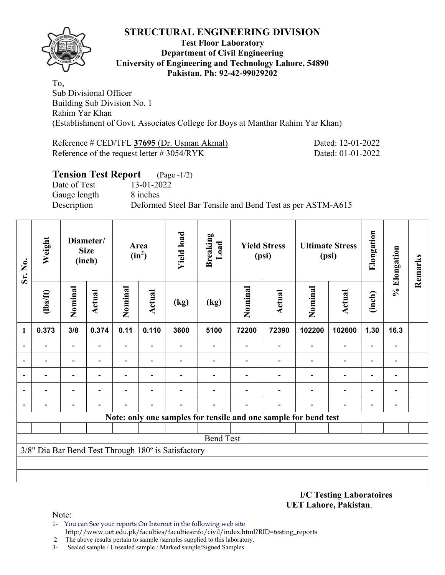

#### **Test Floor Laboratory Department of Civil Engineering University of Engineering and Technology Lahore, 54890 Pakistan. Ph: 92-42-99029202**

To, Sub Divisional Officer Building Sub Division No. 1 Rahim Yar Khan (Establishment of Govt. Associates College for Boys at Manthar Rahim Yar Khan)

Reference # CED/TFL **37695** (Dr. Usman Akmal) Dated: 12-01-2022 Reference of the request letter # 3054/RYK Dated: 01-01-2022

| <b>Tension Test Report</b> (Page -1/2)                                   |  |
|--------------------------------------------------------------------------|--|
| Date of Test<br>13-01-2022                                               |  |
| 8 inches<br>Gauge length                                                 |  |
| Description<br>Deformed Steel Bar Tensile and Bend Test as per ASTM-A615 |  |

| Sr. No. | Weight                                              |                          | Diameter/<br><b>Size</b><br>(inch) |                                  | Area<br>$(in^2)$         |      |                  |        | <b>Yield load</b><br><b>Breaking</b><br>Load<br><b>Yield Stress</b><br>(psi) |                                                                 |                          | <b>Ultimate Stress</b><br>(psi) | Elongation               | % Elongation | Remarks |
|---------|-----------------------------------------------------|--------------------------|------------------------------------|----------------------------------|--------------------------|------|------------------|--------|------------------------------------------------------------------------------|-----------------------------------------------------------------|--------------------------|---------------------------------|--------------------------|--------------|---------|
|         | $lbsft$                                             | Nominal<br>Actual        |                                    | Nominal<br><b>Actual</b><br>(kg) |                          | (kg) | Nominal          | Actual |                                                                              | <b>Actual</b>                                                   | (inch)                   |                                 |                          |              |         |
| 1       | 0.373                                               | 3/8                      | 0.374                              | 0.11                             | 0.110                    | 3600 | 5100             | 72200  | 72390                                                                        | 102200                                                          | 102600                   | 1.30                            | 16.3                     |              |         |
|         |                                                     | -                        |                                    |                                  |                          |      |                  |        |                                                                              |                                                                 | $\overline{\phantom{a}}$ | $\blacksquare$                  |                          |              |         |
|         | $\overline{\phantom{0}}$                            | $\overline{\phantom{a}}$ |                                    | $\overline{\phantom{0}}$         | $\overline{\phantom{0}}$ |      |                  |        |                                                                              | $\overline{\phantom{0}}$                                        | $\overline{\phantom{a}}$ | $\overline{\phantom{0}}$        | $\overline{\phantom{0}}$ |              |         |
|         | $\overline{\phantom{0}}$                            | $\overline{\phantom{0}}$ | $\overline{\phantom{0}}$           | $\overline{\phantom{0}}$         | $\overline{\phantom{0}}$ |      |                  |        |                                                                              |                                                                 | $\overline{\phantom{a}}$ | $\overline{\phantom{a}}$        | $\overline{\phantom{a}}$ |              |         |
|         |                                                     |                          |                                    |                                  |                          |      |                  |        |                                                                              |                                                                 | $\overline{\phantom{0}}$ | $\overline{\phantom{0}}$        | $\blacksquare$           |              |         |
|         |                                                     |                          |                                    |                                  |                          |      |                  |        |                                                                              |                                                                 |                          | $\overline{\phantom{0}}$        |                          |              |         |
|         |                                                     |                          |                                    |                                  |                          |      |                  |        |                                                                              | Note: only one samples for tensile and one sample for bend test |                          |                                 |                          |              |         |
|         |                                                     |                          |                                    |                                  |                          |      |                  |        |                                                                              |                                                                 |                          |                                 |                          |              |         |
|         |                                                     |                          |                                    |                                  |                          |      | <b>Bend Test</b> |        |                                                                              |                                                                 |                          |                                 |                          |              |         |
|         | 3/8" Dia Bar Bend Test Through 180° is Satisfactory |                          |                                    |                                  |                          |      |                  |        |                                                                              |                                                                 |                          |                                 |                          |              |         |
|         |                                                     |                          |                                    |                                  |                          |      |                  |        |                                                                              |                                                                 |                          |                                 |                          |              |         |
|         |                                                     |                          |                                    |                                  |                          |      |                  |        |                                                                              |                                                                 |                          |                                 |                          |              |         |

**I/C Testing Laboratoires UET Lahore, Pakistan**.

Note:

1- You can See your reports On Internet in the following web site http://www.uet.edu.pk/faculties/facultiesinfo/civil/index.html?RID=testing\_reports

2. The above results pertain to sample /samples supplied to this laboratory.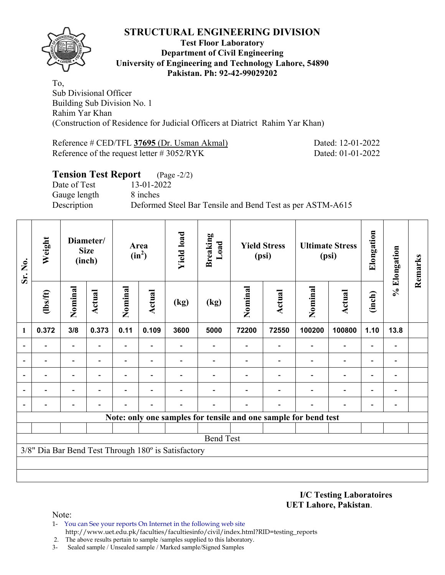

#### **Test Floor Laboratory Department of Civil Engineering University of Engineering and Technology Lahore, 54890 Pakistan. Ph: 92-42-99029202**

To, Sub Divisional Officer Building Sub Division No. 1 Rahim Yar Khan (Construction of Residence for Judicial Officers at Diatrict Rahim Yar Khan)

Reference # CED/TFL **37695** (Dr. Usman Akmal) Dated: 12-01-2022 Reference of the request letter # 3052/RYK Dated: 01-01-2022

| <b>Tension Test Report</b> (Page -2/2) |                                                           |
|----------------------------------------|-----------------------------------------------------------|
| Date of Test                           | 13-01-2022                                                |
| Gauge length                           | 8 inches                                                  |
| Description                            | Deformed Steel Bar Tensile and Bend Test as per ASTM-A615 |

| Weight<br>Sr. No.                                   |         | Diameter/<br><b>Size</b><br>(inch) |        |                          |        | Area<br>$(in^2)$ |                  | <b>Yield load</b> | <b>Breaking</b><br>Load | <b>Yield Stress</b><br>(psi)                                    |                          | <b>Ultimate Stress</b><br>(psi) |                          | Elongation | % Elongation | Remarks |
|-----------------------------------------------------|---------|------------------------------------|--------|--------------------------|--------|------------------|------------------|-------------------|-------------------------|-----------------------------------------------------------------|--------------------------|---------------------------------|--------------------------|------------|--------------|---------|
|                                                     | $lbsft$ | Nominal                            | Actual | Nominal                  | Actual | (kg)             | (kg)             | Nominal           | Actual                  | Nominal                                                         | Actual                   | (inch)                          |                          |            |              |         |
| 1                                                   | 0.372   | 3/8                                | 0.373  | 0.11                     | 0.109  | 3600             | 5000             | 72200             | 72550                   | 100200                                                          | 100800                   | 1.10                            | 13.8                     |            |              |         |
| ۰                                                   |         |                                    |        | $\overline{\phantom{0}}$ |        |                  |                  |                   |                         |                                                                 | $\overline{\phantom{0}}$ | $\overline{\phantom{0}}$        |                          |            |              |         |
| $\overline{\phantom{0}}$                            |         |                                    |        | Ξ.                       |        |                  |                  |                   |                         | $\overline{\phantom{0}}$                                        | $\overline{\phantom{0}}$ | $\overline{\phantom{0}}$        |                          |            |              |         |
| $\overline{\phantom{a}}$                            |         | $\overline{\phantom{0}}$           |        | $\overline{\phantom{0}}$ |        |                  |                  |                   |                         | $\blacksquare$                                                  | $\overline{\phantom{0}}$ | $\overline{\phantom{a}}$        | $\blacksquare$           |            |              |         |
|                                                     |         |                                    |        |                          |        |                  |                  |                   |                         |                                                                 | $\overline{\phantom{0}}$ | $\overline{\phantom{0}}$        | $\overline{\phantom{0}}$ |            |              |         |
|                                                     |         |                                    |        |                          |        |                  |                  |                   |                         |                                                                 |                          | $\overline{\phantom{0}}$        | $\overline{a}$           |            |              |         |
|                                                     |         |                                    |        |                          |        |                  |                  |                   |                         | Note: only one samples for tensile and one sample for bend test |                          |                                 |                          |            |              |         |
|                                                     |         |                                    |        |                          |        |                  |                  |                   |                         |                                                                 |                          |                                 |                          |            |              |         |
|                                                     |         |                                    |        |                          |        |                  | <b>Bend Test</b> |                   |                         |                                                                 |                          |                                 |                          |            |              |         |
| 3/8" Dia Bar Bend Test Through 180° is Satisfactory |         |                                    |        |                          |        |                  |                  |                   |                         |                                                                 |                          |                                 |                          |            |              |         |
|                                                     |         |                                    |        |                          |        |                  |                  |                   |                         |                                                                 |                          |                                 |                          |            |              |         |
|                                                     |         |                                    |        |                          |        |                  |                  |                   |                         |                                                                 |                          |                                 |                          |            |              |         |

**I/C Testing Laboratoires UET Lahore, Pakistan**.

Note:

1- You can See your reports On Internet in the following web site http://www.uet.edu.pk/faculties/facultiesinfo/civil/index.html?RID=testing\_reports

2. The above results pertain to sample /samples supplied to this laboratory.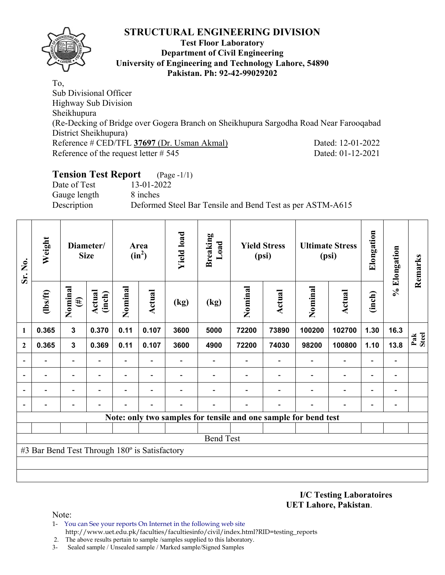

#### **Test Floor Laboratory Department of Civil Engineering University of Engineering and Technology Lahore, 54890 Pakistan. Ph: 92-42-99029202**

To, Sub Divisional Officer Highway Sub Division Sheikhupura (Re-Decking of Bridge over Gogera Branch on Sheikhupura Sargodha Road Near Farooqabad District Sheikhupura) Reference # CED/TFL **37697** (Dr. Usman Akmal) Dated: 12-01-2022 Reference of the request letter  $# 545$  Dated: 01-12-2021

# **Tension Test Report** (Page -1/1)

Date of Test 13-01-2022 Gauge length 8 inches

Description Deformed Steel Bar Tensile and Bend Test as per ASTM-A615

| Sr. No.                                       | Weight   |                   |                  | Diameter/<br>Area<br>$(in^2)$<br><b>Size</b> |                          |      | <b>Yield load</b><br><b>Breaking</b><br>Load |                                                                 | <b>Yield Stress</b><br>(psi) |         | <b>Ultimate Stress</b><br>(psi) |                          | Elongation                   | % Elongation | Remarks |
|-----------------------------------------------|----------|-------------------|------------------|----------------------------------------------|--------------------------|------|----------------------------------------------|-----------------------------------------------------------------|------------------------------|---------|---------------------------------|--------------------------|------------------------------|--------------|---------|
|                                               | (1bs/ft) | Nominal<br>$(\#)$ | Actual<br>(inch) | Nominal                                      | Actual                   | (kg) | (kg)                                         | Nominal                                                         | <b>Actual</b>                | Nominal | Actual                          | (inch)                   |                              |              |         |
| 1                                             | 0.365    | $\mathbf{3}$      | 0.370            | 0.11                                         | 0.107                    | 3600 | 5000                                         | 72200                                                           | 73890                        | 100200  | 102700                          | 1.30                     | 16.3                         |              |         |
| $\mathbf{2}$                                  | 0.365    | $\mathbf{3}$      | 0.369            | 0.11                                         | 0.107                    | 3600 | 4900                                         | 72200                                                           | 74030                        | 98200   | 100800                          | 1.10                     | 13.8                         | Pak<br>Steel |         |
|                                               |          |                   |                  | $\overline{\phantom{0}}$                     |                          |      |                                              |                                                                 |                              |         |                                 |                          | $\qquad \qquad \blacksquare$ |              |         |
|                                               |          |                   |                  | -                                            | $\overline{\phantom{a}}$ |      |                                              |                                                                 |                              |         | $\overline{a}$                  | $\overline{\phantom{0}}$ | -                            |              |         |
|                                               |          |                   |                  |                                              |                          |      |                                              |                                                                 |                              |         |                                 |                          |                              |              |         |
|                                               |          |                   |                  |                                              |                          |      |                                              |                                                                 |                              |         |                                 |                          | -                            |              |         |
|                                               |          |                   |                  |                                              |                          |      |                                              | Note: only two samples for tensile and one sample for bend test |                              |         |                                 |                          |                              |              |         |
|                                               |          |                   |                  |                                              |                          |      |                                              |                                                                 |                              |         |                                 |                          |                              |              |         |
|                                               |          |                   |                  |                                              |                          |      | <b>Bend Test</b>                             |                                                                 |                              |         |                                 |                          |                              |              |         |
| #3 Bar Bend Test Through 180° is Satisfactory |          |                   |                  |                                              |                          |      |                                              |                                                                 |                              |         |                                 |                          |                              |              |         |
|                                               |          |                   |                  |                                              |                          |      |                                              |                                                                 |                              |         |                                 |                          |                              |              |         |
|                                               |          |                   |                  |                                              |                          |      |                                              |                                                                 |                              |         |                                 |                          |                              |              |         |

**I/C Testing Laboratoires UET Lahore, Pakistan**.

Note:

- 1- You can See your reports On Internet in the following web site http://www.uet.edu.pk/faculties/facultiesinfo/civil/index.html?RID=testing\_reports
- 2. The above results pertain to sample /samples supplied to this laboratory.
- 3- Sealed sample / Unsealed sample / Marked sample/Signed Samples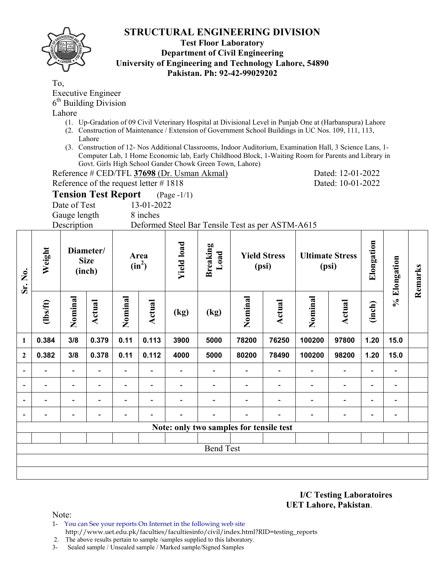## **Test Floor Laboratory Department of Civil Engineering University of Engineering and Technology Lahore, 54890 Pakistan. Ph: 92-42-99029202**

To,

Executive Engineer  $6<sup>th</sup>$  Building Division

Lahore

- (1. Up-Gradation of 09 Civil Veterinary Hospital at Divisional Level in Punjab One at (Harbanspura) Lahore
- (2. Construction of Maintenance / Extension of Government School Buildings in UC Nos. 109, 111, 113, Lahore
- (3. Construction of 12- Nos Additional Classrooms, Indoor Auditorium, Examination Hall, 3 Science Lans, 1- Computer Lab, 1 Home Economic lab, Early Childhood Block, 1-Waiting Room for Parents and Library in Govt. Girls High School Gander Chowk Green Town, Lahore)

Reference # CED/TFL **37698** (Dr. Usman Akmal) Dated: 12-01-2022

Reference of the request letter # 1818 Dated: 10-01-2022

# **Tension Test Report** (Page -1/1)

Date of Test 13-01-2022

Gauge length 8 inches

Description Deformed Steel Bar Tensile Test as per ASTM-A615

| Sr. No.                  | Weight<br>Diameter/<br><b>Size</b><br>(inch) |                              |                          | <b>Yield load</b><br>Area<br>$(in^2)$ |                          | <b>Breaking</b><br>Load<br><b>Yield Stress</b><br>(psi) |                          | (psi)                    | <b>Ultimate Stress</b>   | Elongation               | % Elongation             | Remarks                  |                          |  |
|--------------------------|----------------------------------------------|------------------------------|--------------------------|---------------------------------------|--------------------------|---------------------------------------------------------|--------------------------|--------------------------|--------------------------|--------------------------|--------------------------|--------------------------|--------------------------|--|
|                          | $lbsft$                                      | Nominal                      | Actual                   | Nominal                               | <b>Actual</b>            | (kg)                                                    | (kg)                     | Nominal                  | Actual                   | Nominal                  | Actual                   | (inch)                   |                          |  |
| 1                        | 0.384                                        | 3/8                          | 0.379                    | 0.11                                  | 0.113                    | 3900                                                    | 5000                     | 78200                    | 76250                    | 100200                   | 97800                    | 1.20                     | 15.0                     |  |
| $\overline{2}$           | 0.382                                        | 3/8                          | 0.378                    | 0.11                                  | 0.112                    | 4000                                                    | 5000                     | 80200                    | 78490                    | 100200                   | 98200                    | 1.20                     | 15.0                     |  |
| $\overline{\phantom{a}}$ |                                              |                              |                          |                                       | ۰                        |                                                         |                          |                          | $\overline{\phantom{0}}$ | $\overline{\phantom{0}}$ |                          |                          | $\overline{\phantom{0}}$ |  |
| $\overline{\phantom{a}}$ | $\overline{\phantom{a}}$                     | $\overline{\phantom{a}}$     | $\overline{\phantom{0}}$ |                                       | $\overline{\phantom{a}}$ |                                                         |                          | $\overline{\phantom{0}}$ | $\overline{\phantom{0}}$ | $\overline{\phantom{0}}$ | $\overline{\phantom{0}}$ | $\overline{\phantom{a}}$ | $\overline{\phantom{a}}$ |  |
| $\overline{\phantom{a}}$ | $\overline{\phantom{0}}$                     | $\qquad \qquad \blacksquare$ | $\blacksquare$           | $\blacksquare$                        | $\overline{\phantom{a}}$ |                                                         | $\overline{\phantom{0}}$ | $\overline{\phantom{0}}$ | $\overline{\phantom{0}}$ | $\overline{\phantom{0}}$ | $\overline{\phantom{0}}$ | $\overline{\phantom{a}}$ | $\blacksquare$           |  |
| $\overline{\phantom{a}}$ | $\overline{\phantom{0}}$                     | $\overline{\phantom{0}}$     |                          |                                       | $\overline{\phantom{0}}$ |                                                         | $\overline{\phantom{0}}$ | $\overline{\phantom{0}}$ | $\overline{\phantom{0}}$ | -                        | $\overline{\phantom{a}}$ | $\blacksquare$           | $\blacksquare$           |  |
|                          | Note: only two samples for tensile test      |                              |                          |                                       |                          |                                                         |                          |                          |                          |                          |                          |                          |                          |  |
|                          |                                              |                              |                          |                                       |                          |                                                         |                          |                          |                          |                          |                          |                          |                          |  |
|                          | <b>Bend Test</b>                             |                              |                          |                                       |                          |                                                         |                          |                          |                          |                          |                          |                          |                          |  |
|                          |                                              |                              |                          |                                       |                          |                                                         |                          |                          |                          |                          |                          |                          |                          |  |
|                          |                                              |                              |                          |                                       |                          |                                                         |                          |                          |                          |                          |                          |                          |                          |  |

**I/C Testing Laboratoires UET Lahore, Pakistan**.

Note:

- 1- You can See your reports On Internet in the following web site http://www.uet.edu.pk/faculties/facultiesinfo/civil/index.html?RID=testing\_reports
- 2. The above results pertain to sample /samples supplied to this laboratory.
- 3- Sealed sample / Unsealed sample / Marked sample/Signed Samples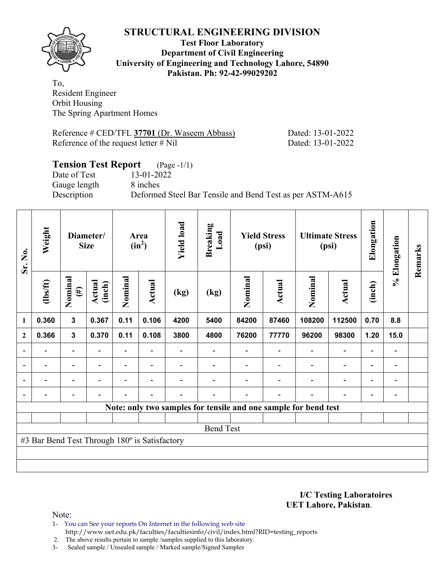

#### **Test Floor Laboratory Department of Civil Engineering University of Engineering and Technology Lahore, 54890 Pakistan. Ph: 92-42-99029202**

To, Resident Engineer Orbit Housing The Spring Apartment Homes

Reference # CED/TFL 37701 (Dr. Waseem Abbass) Dated: 13-01-2022 Reference of the request letter # Nil Dated: 13-01-2022

# **Tension Test Report** (Page -1/1) Date of Test 13-01-2022 Gauge length 8 inches Description Deformed Steel Bar Tensile and Bend Test as per ASTM-A615

| Sr. No.                                                         | Weight         | Diameter/<br><b>Size</b> |                  | Area<br>$(in^2)$ |                          | <b>Yield load</b> | Breaking<br>Load | <b>Yield Stress</b><br>(psi) |        | <b>Ultimate Stress</b><br>(psi) |                          | Elongation               | % Elongation   | Remarks |
|-----------------------------------------------------------------|----------------|--------------------------|------------------|------------------|--------------------------|-------------------|------------------|------------------------------|--------|---------------------------------|--------------------------|--------------------------|----------------|---------|
|                                                                 | $\frac{2}{10}$ | Nominal<br>$(\#)$        | Actual<br>(inch) | Nominal          | Actual                   | (kg)              | (kg)             | Nominal                      | Actual | Nominal                         | <b>Actual</b>            | (inch)                   |                |         |
| $\mathbf{1}$                                                    | 0.360          | $\overline{\mathbf{3}}$  | 0.367            | 0.11             | 0.106                    | 4200              | 5400             | 84200                        | 87460  | 108200                          | 112500                   | 0.70                     | 8.8            |         |
| $\overline{2}$                                                  | 0.366          | 3                        | 0.370            | 0.11             | 0.108                    | 3800              | 4800             | 76200                        | 77770  | 96200                           | 98300                    | 1.20                     | 15.0           |         |
| $\blacksquare$                                                  |                | $\overline{\phantom{a}}$ |                  | $\blacksquare$   |                          |                   |                  |                              |        |                                 | $\overline{\phantom{0}}$ | $\overline{a}$           |                |         |
| $\overline{\phantom{a}}$                                        |                | $\overline{\phantom{0}}$ |                  |                  |                          |                   |                  |                              |        |                                 | $\overline{\phantom{0}}$ | $\overline{\phantom{0}}$ |                |         |
| $\overline{\phantom{a}}$                                        | $\blacksquare$ | $\blacksquare$           | $\blacksquare$   |                  | $\overline{\phantom{a}}$ |                   |                  |                              |        | $\overline{\phantom{0}}$        | $\overline{\phantom{a}}$ | $\overline{\phantom{a}}$ | $\blacksquare$ |         |
|                                                                 |                | $\overline{\phantom{0}}$ |                  |                  | $\overline{\phantom{0}}$ |                   |                  |                              |        | $\overline{\phantom{0}}$        | $\overline{a}$           | $\blacksquare$           |                |         |
| Note: only two samples for tensile and one sample for bend test |                |                          |                  |                  |                          |                   |                  |                              |        |                                 |                          |                          |                |         |
|                                                                 |                |                          |                  |                  |                          |                   |                  |                              |        |                                 |                          |                          |                |         |
| <b>Bend Test</b>                                                |                |                          |                  |                  |                          |                   |                  |                              |        |                                 |                          |                          |                |         |
| #3 Bar Bend Test Through 180° is Satisfactory                   |                |                          |                  |                  |                          |                   |                  |                              |        |                                 |                          |                          |                |         |
|                                                                 |                |                          |                  |                  |                          |                   |                  |                              |        |                                 |                          |                          |                |         |
|                                                                 |                |                          |                  |                  |                          |                   |                  |                              |        |                                 |                          |                          |                |         |

**I/C Testing Laboratoires UET Lahore, Pakistan**.

Note:

1- You can See your reports On Internet in the following web site http://www.uet.edu.pk/faculties/facultiesinfo/civil/index.html?RID=testing\_reports

2. The above results pertain to sample /samples supplied to this laboratory.